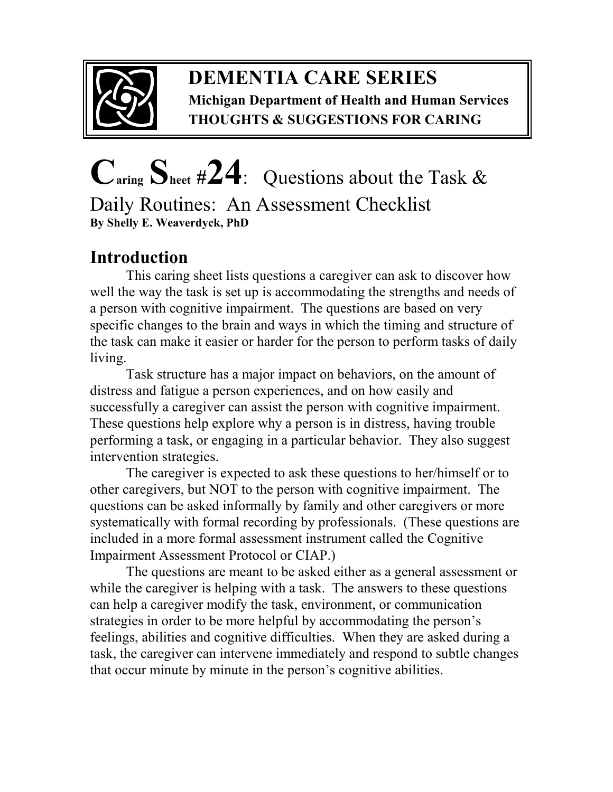

### **DEMENTIA CARE SERIES Michigan Department of Health and Human Services THOUGHTS & SUGGESTIONS FOR CARING**

# **Caring Sheet #24**:Questions about the Task & Daily Routines: An Assessment Checklist **By Shelly E. Weaverdyck, PhD**

## **Introduction**

This caring sheet lists questions a caregiver can ask to discover how well the way the task is set up is accommodating the strengths and needs of a person with cognitive impairment. The questions are based on very specific changes to the brain and ways in which the timing and structure of the task can make it easier or harder for the person to perform tasks of daily living.

Task structure has a major impact on behaviors, on the amount of distress and fatigue a person experiences, and on how easily and successfully a caregiver can assist the person with cognitive impairment. These questions help explore why a person is in distress, having trouble performing a task, or engaging in a particular behavior. They also suggest intervention strategies.

The caregiver is expected to ask these questions to her/himself or to other caregivers, but NOT to the person with cognitive impairment. The questions can be asked informally by family and other caregivers or more systematically with formal recording by professionals. (These questions are included in a more formal assessment instrument called the Cognitive Impairment Assessment Protocol or CIAP.)

 The questions are meant to be asked either as a general assessment or while the caregiver is helping with a task. The answers to these questions can help a caregiver modify the task, environment, or communication strategies in order to be more helpful by accommodating the person's feelings, abilities and cognitive difficulties. When they are asked during a task, the caregiver can intervene immediately and respond to subtle changes that occur minute by minute in the person's cognitive abilities.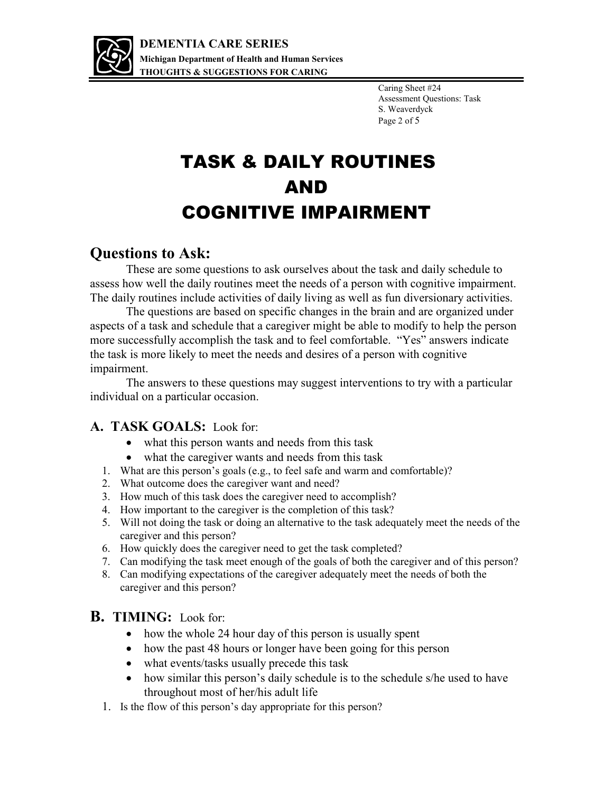

Caring Sheet #24 Assessment Questions: Task S. Weaverdyck Page 2 of 5

## TASK & DAILY ROUTINES AND COGNITIVE IMPAIRMENT

### **Questions to Ask:**

These are some questions to ask ourselves about the task and daily schedule to assess how well the daily routines meet the needs of a person with cognitive impairment. The daily routines include activities of daily living as well as fun diversionary activities.

The questions are based on specific changes in the brain and are organized under aspects of a task and schedule that a caregiver might be able to modify to help the person more successfully accomplish the task and to feel comfortable. "Yes" answers indicate the task is more likely to meet the needs and desires of a person with cognitive impairment.

 The answers to these questions may suggest interventions to try with a particular individual on a particular occasion.

#### **A. TASK GOALS:** Look for:

- what this person wants and needs from this task
- what the caregiver wants and needs from this task
- 1. What are this person's goals (e.g., to feel safe and warm and comfortable)?
- 2. What outcome does the caregiver want and need?
- 3. How much of this task does the caregiver need to accomplish?
- 4. How important to the caregiver is the completion of this task?
- 5. Will not doing the task or doing an alternative to the task adequately meet the needs of the caregiver and this person?
- 6. How quickly does the caregiver need to get the task completed?
- 7. Can modifying the task meet enough of the goals of both the caregiver and of this person?
- 8. Can modifying expectations of the caregiver adequately meet the needs of both the caregiver and this person?

#### **B. TIMING:** Look for:

- how the whole 24 hour day of this person is usually spent
- how the past 48 hours or longer have been going for this person
- what events/tasks usually precede this task
- how similar this person's daily schedule is to the schedule s/he used to have throughout most of her/his adult life
- 1. Is the flow of this person's day appropriate for this person?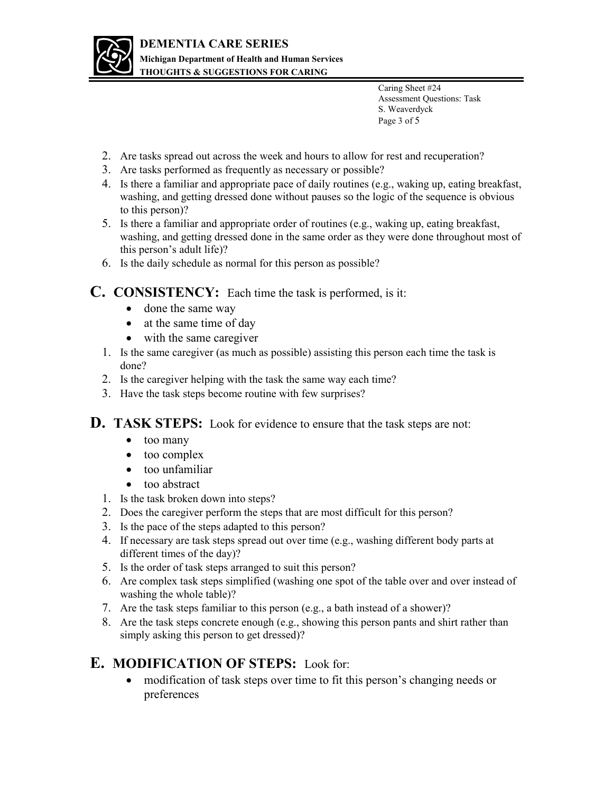

Caring Sheet #24 Assessment Questions: Task S. Weaverdyck Page 3 of 5

- 2. Are tasks spread out across the week and hours to allow for rest and recuperation?
- 3. Are tasks performed as frequently as necessary or possible?
- 4. Is there a familiar and appropriate pace of daily routines (e.g., waking up, eating breakfast, washing, and getting dressed done without pauses so the logic of the sequence is obvious to this person)?
- 5. Is there a familiar and appropriate order of routines (e.g., waking up, eating breakfast, washing, and getting dressed done in the same order as they were done throughout most of this person's adult life)?
- 6. Is the daily schedule as normal for this person as possible?

#### **C. CONSISTENCY:** Each time the task is performed, is it:

- done the same way
- at the same time of day
- with the same caregiver
- 1. Is the same caregiver (as much as possible) assisting this person each time the task is done?
- 2. Is the caregiver helping with the task the same way each time?
- 3. Have the task steps become routine with few surprises?

**D. TASK STEPS:** Look for evidence to ensure that the task steps are not:

- too many
- too complex
- too unfamiliar
- too abstract
- 1. Is the task broken down into steps?
- 2. Does the caregiver perform the steps that are most difficult for this person?
- 3. Is the pace of the steps adapted to this person?
- 4. If necessary are task steps spread out over time (e.g., washing different body parts at different times of the day)?
- 5. Is the order of task steps arranged to suit this person?
- 6. Are complex task steps simplified (washing one spot of the table over and over instead of washing the whole table)?
- 7. Are the task steps familiar to this person (e.g., a bath instead of a shower)?
- 8. Are the task steps concrete enough (e.g., showing this person pants and shirt rather than simply asking this person to get dressed)?

#### **E. MODIFICATION OF STEPS:** Look for:

 modification of task steps over time to fit this person's changing needs or preferences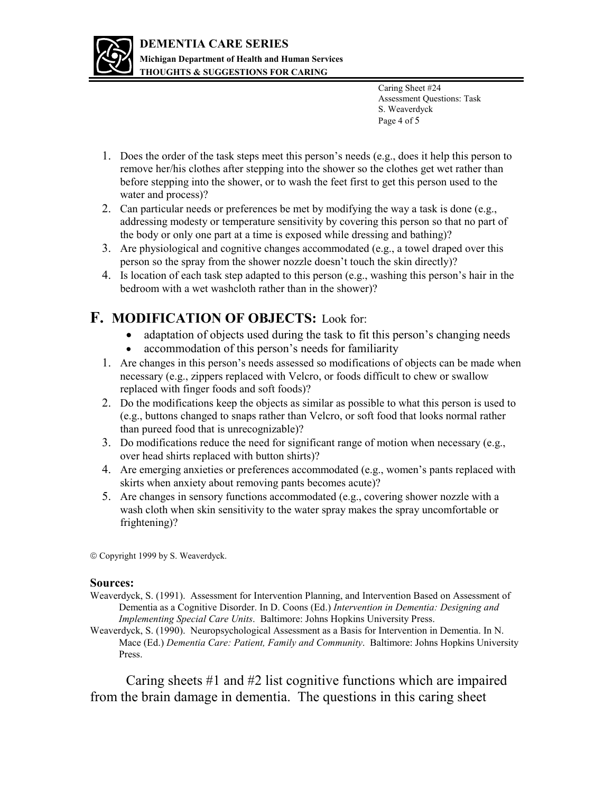

Caring Sheet #24 Assessment Questions: Task S. Weaverdyck Page 4 of 5

- 1. Does the order of the task steps meet this person's needs (e.g., does it help this person to remove her/his clothes after stepping into the shower so the clothes get wet rather than before stepping into the shower, or to wash the feet first to get this person used to the water and process)?
- 2. Can particular needs or preferences be met by modifying the way a task is done (e.g., addressing modesty or temperature sensitivity by covering this person so that no part of the body or only one part at a time is exposed while dressing and bathing)?
- 3. Are physiological and cognitive changes accommodated (e.g., a towel draped over this person so the spray from the shower nozzle doesn't touch the skin directly)?
- 4. Is location of each task step adapted to this person (e.g., washing this person's hair in the bedroom with a wet washcloth rather than in the shower)?

#### **F. MODIFICATION OF OBJECTS:** Look for:

- adaptation of objects used during the task to fit this person's changing needs
- accommodation of this person's needs for familiarity
- 1. Are changes in this person's needs assessed so modifications of objects can be made when necessary (e.g., zippers replaced with Velcro, or foods difficult to chew or swallow replaced with finger foods and soft foods)?
- 2. Do the modifications keep the objects as similar as possible to what this person is used to (e.g., buttons changed to snaps rather than Velcro, or soft food that looks normal rather than pureed food that is unrecognizable)?
- 3. Do modifications reduce the need for significant range of motion when necessary (e.g., over head shirts replaced with button shirts)?
- 4. Are emerging anxieties or preferences accommodated (e.g., women's pants replaced with skirts when anxiety about removing pants becomes acute)?
- 5. Are changes in sensory functions accommodated (e.g., covering shower nozzle with a wash cloth when skin sensitivity to the water spray makes the spray uncomfortable or frightening)?

Copyright 1999 by S. Weaverdyck.

#### **Sources:**

- Weaverdyck, S. (1991). Assessment for Intervention Planning, and Intervention Based on Assessment of Dementia as a Cognitive Disorder. In D. Coons (Ed.) *Intervention in Dementia: Designing and Implementing Special Care Units*. Baltimore: Johns Hopkins University Press.
- Weaverdyck, S. (1990). Neuropsychological Assessment as a Basis for Intervention in Dementia. In N. Mace (Ed.) *Dementia Care: Patient, Family and Community*. Baltimore: Johns Hopkins University Press.

Caring sheets #1 and #2 list cognitive functions which are impaired from the brain damage in dementia. The questions in this caring sheet